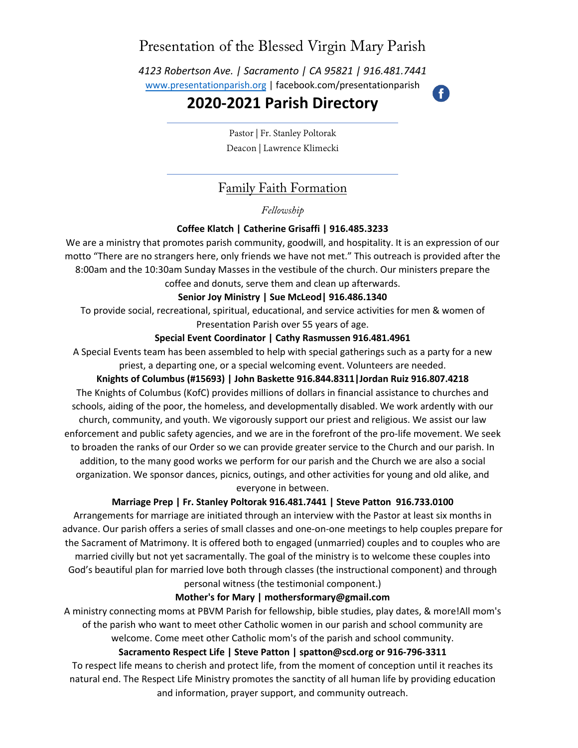# Presentation of the Blessed Virgin Mary Parish

*4123 Robertson Ave. | Sacramento | CA 95821 | 916.481.7441* www.presentationparish.org | facebook.com/presentationparish

# **20[20-2021](http://www.presentationparish.org/) Parish Directory**

Ŧ

Pastor | Fr. Stanley Poltorak Deacon | Lawrence Klimecki

## Family Faith Formation

### *Fellowship*

### **Coffee Klatch | Catherine Grisaffi | 916.485.3233**

We are a ministry that promotes parish community, goodwill, and hospitality. It is an expression of our motto "There are no strangers here, only friends we have not met." This outreach is provided after the 8:00am and the 10:30am Sunday Masses in the vestibule of the church. Our ministers prepare the coffee and donuts, serve them and clean up afterwards.

#### **Senior Joy Ministry | Sue McLeod| 916.486.1340**

To provide social, recreational, spiritual, educational, and service activities for men & women of Presentation Parish over 55 years of age.

#### **Special Event Coordinator | Cathy Rasmussen 916.481.4961**

A Special Events team has been assembled to help with special gatherings such as a party for a new priest, a departing one, or a special welcoming event. Volunteers are needed.

#### **Knights of Columbus (#15693) | John Baskette 916.844.8311|Jordan Ruiz 916.807.4218**

The Knights of Columbus (KofC) provides millions of dollars in financial assistance to churches and schools, aiding of the poor, the homeless, and developmentally disabled. We work ardently with our church, community, and youth. We vigorously support our priest and religious. We assist our law enforcement and public safety agencies, and we are in the forefront of the pro-life movement. We seek to broaden the ranks of our Order so we can provide greater service to the Church and our parish. In addition, to the many good works we perform for our parish and the Church we are also a social organization. We sponsor dances, picnics, outings, and other activities for young and old alike, and everyone in between.

#### **Marriage Prep | Fr. Stanley Poltorak 916.481.7441 | Steve Patton 916.733.0100**

Arrangements for marriage are initiated through an interview with the Pastor at least six months in advance. Our parish offers a series of small classes and one-on-one meetings to help couples prepare for the Sacrament of Matrimony. It is offered both to engaged (unmarried) couples and to couples who are married civilly but not yet sacramentally. The goal of the ministry is to welcome these couples into God's beautiful plan for married love both through classes (the instructional component) and through personal witness (the testimonial component.)

#### **Mother's for Mary | mothersformary@gmail.com**

A ministry connecting moms at PBVM Parish for fellowship, bible studies, play dates, & more!All mom's of the parish who want to meet other Catholic women in our parish and school community are welcome. Come meet other Catholic mom's of the parish and school community.

#### **Sacramento Respect Life | Steve Patton | spatton@scd.org or 916-796-3311**

To respect life means to cherish and protect life, from the moment of conception until it reaches its natural end. The Respect Life Ministry promotes the sanctity of all human life by providing education and information, prayer support, and community outreach.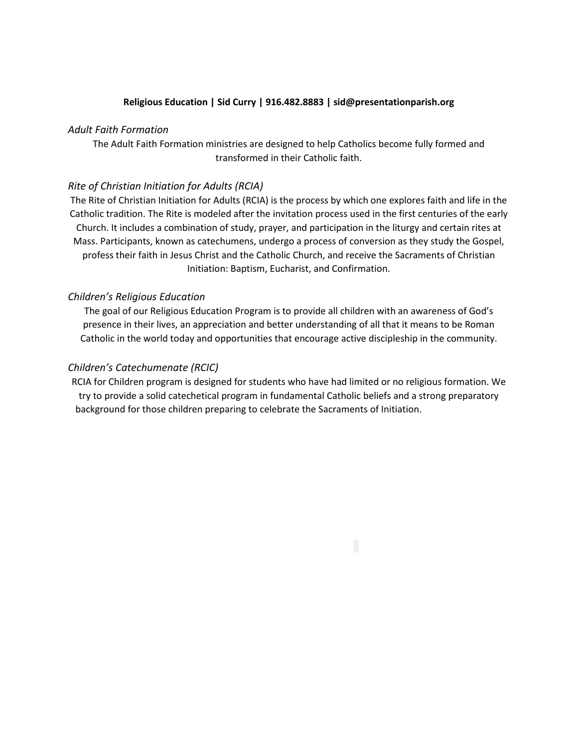#### **Religious Education | Sid Curry | 916.482.8883 | [sid@presentationparish.org](mailto:sid@presentationparish.org)**

#### *Adult Faith Formation*

The Adult Faith Formation ministries are designed to help Catholics become fully formed and transformed in their Catholic faith.

#### *Rite of Christian Initiation for Adults (RCIA)*

The Rite of Christian Initiation for Adults (RCIA) is the process by which one explores faith and life in the Catholic tradition. The Rite is modeled after the invitation process used in the first centuries of the early Church. It includes a combination of study, prayer, and participation in the liturgy and certain rites at Mass. Participants, known as catechumens, undergo a process of conversion as they study the Gospel, profess their faith in Jesus Christ and the Catholic Church, and receive the Sacraments of Christian Initiation: Baptism, Eucharist, and Confirmation.

#### *Children's Religious Education*

The goal of our Religious Education Program is to provide all children with an awareness of God's presence in their lives, an appreciation and better understanding of all that it means to be Roman Catholic in the world today and opportunities that encourage active discipleship in the community.

#### *Children's Catechumenate (RCIC)*

RCIA for Children program is designed for students who have had limited or no religious formation. We try to provide a solid catechetical program in fundamental Catholic beliefs and a strong preparatory background for those children preparing to celebrate the Sacraments of Initiation.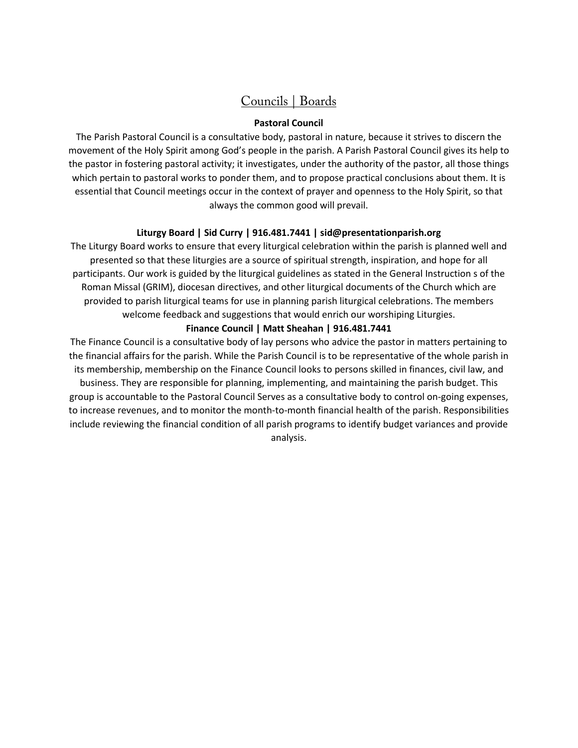## Councils | Boards

#### **Pastoral Council**

The Parish Pastoral Council is a consultative body, pastoral in nature, because it strives to discern the movement of the Holy Spirit among God's people in the parish. A Parish Pastoral Council gives its help to the pastor in fostering pastoral activity; it investigates, under the authority of the pastor, all those things which pertain to pastoral works to ponder them, and to propose practical conclusions about them. It is essential that Council meetings occur in the context of prayer and openness to the Holy Spirit, so that always the common good will prevail.

#### **Liturgy Board | Sid Curry | 916.481.7441 | [sid@presentationparish.org](mailto:sid@presentationparish.org)**

The Liturgy Board works to ensure that every liturgical celebration within the parish is planned well and presented so that these liturgies are a source of spiritual strength, inspiration, and hope for all participants. Our work is guided by the liturgical guidelines as stated in the General Instruction s of the Roman Missal (GRIM), diocesan directives, and other liturgical documents of the Church which are provided to parish liturgical teams for use in planning parish liturgical celebrations. The members welcome feedback and suggestions that would enrich our worshiping Liturgies.

#### **Finance Council | Matt Sheahan | 916.481.7441**

The Finance Council is a consultative body of lay persons who advice the pastor in matters pertaining to the financial affairs for the parish. While the Parish Council is to be representative of the whole parish in its membership, membership on the Finance Council looks to persons skilled in finances, civil law, and

business. They are responsible for planning, implementing, and maintaining the parish budget. This group is accountable to the Pastoral Council Serves as a consultative body to control on-going expenses, to increase revenues, and to monitor the month-to-month financial health of the parish. Responsibilities include reviewing the financial condition of all parish programs to identify budget variances and provide analysis.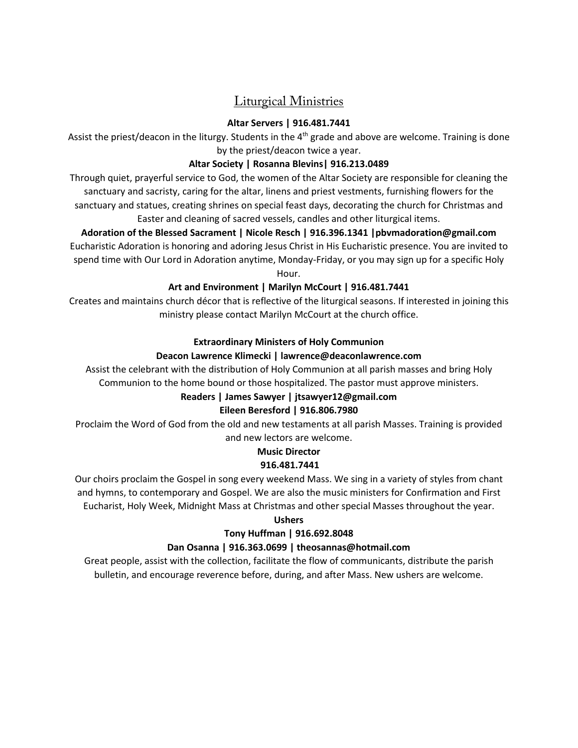## Liturgical Ministries

#### **Altar Servers | 916.4[81.7441](mailto:becky@presentationparish.org)**

Assist the priest/deacon in the liturgy. Students in the 4<sup>th</sup> grade and above are welcome. Training is done by the priest/deacon twice a year.

#### **Altar Society | Rosanna Blevins| 916.213.0489**

Through quiet, prayerful service to God, the women of the Altar Society are responsible for cleaning the sanctuary and sacristy, caring for the altar, linens and priest vestments, furnishing flowers for the sanctuary and statues, creating shrines on special feast days, decorating the church for Christmas and Easter and cleaning of sacred vessels, candles and other liturgical items.

**Adoration of the Blessed Sacrament | Nicole Resch | 916.396.1341 [|pbvmadoration@gmail.com](mailto:%7Cpbvmadoration@gmail.com)** Eucharistic Adoration is honoring and adoring Jesus Christ in His Eucharistic presence. You are invited to spend time with Our Lord in Adoration anytime, Monday-Friday, or you may sign up for a specific Holy

Hour.

### **Art and Environment | Marilyn McCourt | 916.481.7441**

Creates and maintains church décor that is reflective of the liturgical seasons. If interested in joining this ministry please contact Marilyn McCourt at the church office.

#### **Extraordinary Ministers of Holy Communion**

### **Deacon Lawrence Klimecki | lawrence@deaconlawrence.com**

Assist the celebrant with the distribution of Holy Communion at all parish masses and bring Holy Communion to the home bound or those hospitalized. The pastor must approve ministers.

## **Readers | James Sawyer | jtsawyer[12@gmail.com](mailto:%7Cstructon@gmail.com)**

#### **Eileen Beresford | 916.806.7980**

Proclaim the Word of God from the old and new testaments at all parish Masses. Training is provided and new lectors are welcome.

#### **Music Director 916.481.7441**

Our choirs proclaim the Gospel in song every weekend Mass. We sing in a variety of styles from chant and hymns, to contemporary and Gospel. We are also the music ministers for Confirmation and First Eucharist, Holy Week, Midnight Mass at Christmas and other special Masses throughout the year.

#### **Ushers**

## **Tony Huffman | 916.692.8048**

## **Dan Osanna | 916.363.0699 | theosannas@hotmail.com**

Great people, assist with the collection, facilitate the flow of communicants, distribute the parish bulletin, and encourage reverence before, during, and after Mass. New ushers are welcome.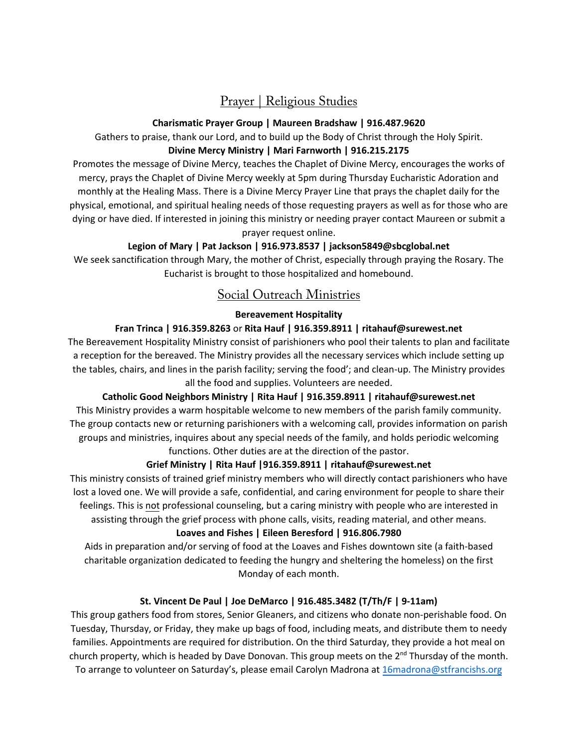## Prayer | Religious Studies

#### **Charismatic Prayer Group | Maureen Bradshaw | 916.487.9620**

Gathers to praise, thank our Lord, and to build up the Body of Christ through the Holy Spirit. **Divine Mercy Ministry | Mari Farnworth | 916.215.2175**

Promotes the message of Divine Mercy, teaches the Chaplet of Divine Mercy, encourages the works of mercy, prays the Chaplet of Divine Mercy weekly at 5pm during Thursday Eucharistic Adoration and monthly at the Healing Mass. There is a Divine Mercy Prayer Line that prays the chaplet daily for the physical, emotional, and spiritual healing needs of those requesting prayers as well as for those who are dying or have died. If interested in joining this ministry or needing prayer contact Maureen or submit a prayer request online.

## **Legion of Mary | Pat Jackson | 916.973.8537 | [jackson5849@sbcglobal.net](mailto:jackson5849@sbcglobal.net)**

We seek sanctification through Mary, the mother of Christ, especially through praying the Rosary. The Eucharist is brought to those hospitalized and homebound.

## Social Outreach Ministries

### **Bereavement Hospitality**

### **Fran Trinca | 916.359.8263** or **Rita Hauf | 916.359.8911 | [ritahauf@surewest.net](mailto:ritahauf@surewest.net)**

The Bereavement Hospitality Ministry consist of parishioners who pool their talents to plan and facilitate a reception for the bereaved. The Ministry provides all the necessary services which include setting up the tables, chairs, and lines in the parish facility; serving the food'; and clean-up. The Ministry provides all the food and supplies. Volunteers are needed.

**Catholic Good Neighbors Ministry | Rita Hauf | 916.359.8911 | [ritahauf@surewest.net](mailto:ritahauf@surewest.net)**

This Ministry provides a warm hospitable welcome to new members of the parish family community. The group contacts new or returning parishioners with a welcoming call, provides information on parish groups and ministries, inquires about any special needs of the family, and holds periodic welcoming functions. Other duties are at the direction of the pastor.

## **Grief Ministry | Rita Hauf |916.359.8911 | [ritahauf@surewest.net](mailto:ritahauf@surewest.net)**

This ministry consists of trained grief ministry members who will directly contact parishioners who have lost a loved one. We will provide a safe, confidential, and caring environment for people to share their feelings. This is not professional counseling, but a caring ministry with people who are interested in assisting through the grief process with phone calls, visits, reading material, and other means.

#### **Loaves and Fishes | Eileen Beresford | 916.806.7980**

Aids in preparation and/or serving of food at the Loaves and Fishes downtown site (a faith-based charitable organization dedicated to feeding the hungry and sheltering the homeless) on the first Monday of each month.

## **St. Vincent De Paul | Joe DeMarco | 916.485.3482 (T/Th/F | 9-11am)**

This group gathers food from stores, Senior Gleaners, and citizens who donate non-perishable food. On Tuesday, Thursday, or Friday, they make up bags of food, including meats, and distribute them to needy families. Appointments are required for distribution. On the third Saturday, they provide a hot meal on church property, which is headed by Dave Donovan. This group meets on the  $2<sup>nd</sup>$  Thursday of the month. To arrange to volunteer on Saturday's, please email Carolyn Madrona at [16madrona@stfrancishs.org](mailto:16madrona@stfrancishs.org)